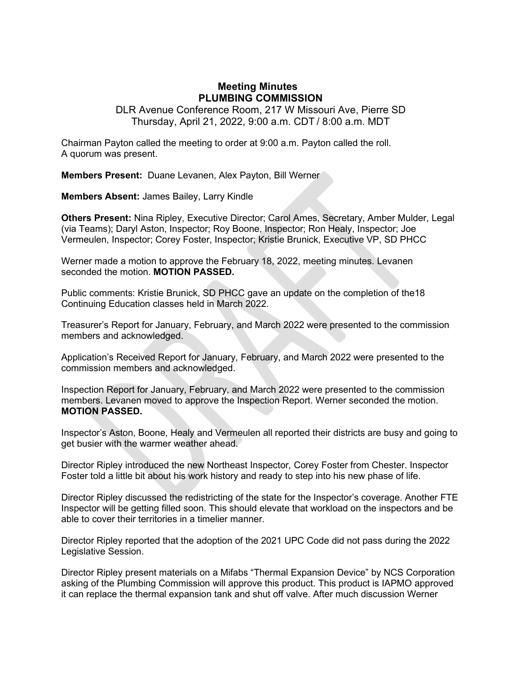## **Meeting Minutes PLUMBING COMMISSION**

DLR Avenue Conference Room, 217 W Missouri Ave, Pierre SD Thursday, April 21, 2022, 9:00 a.m. CDT / 8:00 a.m. MDT

Chairman Payton called the meeting to order at 9:00 a.m. Payton called the roll. A quorum was present.

**Members Present:** Duane Levanen, Alex Payton, Bill Werner

**Members Absent:** James Bailey, Larry Kindle

**Others Present:** Nina Ripley, Executive Director; Carol Ames, Secretary, Amber Mulder, Legal (via Teams); Daryl Aston, Inspector; Roy Boone, Inspector; Ron Healy, Inspector; Joe Vermeulen, Inspector; Corey Foster, Inspector; Kristie Brunick, Executive VP, SD PHCC

Werner made a motion to approve the February 18, 2022, meeting minutes. Levanen seconded the motion. **MOTION PASSED.**

Public comments: Kristie Brunick, SD PHCC gave an update on the completion of the18 Continuing Education classes held in March 2022.

Treasurer's Report for January, February, and March 2022 were presented to the commission members and acknowledged.

Application's Received Report for January, February, and March 2022 were presented to the commission members and acknowledged.

Inspection Report for January, February, and March 2022 were presented to the commission members. Levanen moved to approve the Inspection Report. Werner seconded the motion. **MOTION PASSED.**

Inspector's Aston, Boone, Healy and Vermeulen all reported their districts are busy and going to get busier with the warmer weather ahead.

Director Ripley introduced the new Northeast Inspector, Corey Foster from Chester. Inspector Foster told a little bit about his work history and ready to step into his new phase of life.

Director Ripley discussed the redistricting of the state for the Inspector's coverage. Another FTE Inspector will be getting filled soon. This should elevate that workload on the inspectors and be able to cover their territories in a timelier manner.

Director Ripley reported that the adoption of the 2021 UPC Code did not pass during the 2022 Legislative Session.

Director Ripley present materials on a Mifabs "Thermal Expansion Device" by NCS Corporation asking of the Plumbing Commission will approve this product. This product is IAPMO approved it can replace the thermal expansion tank and shut off valve. After much discussion Werner